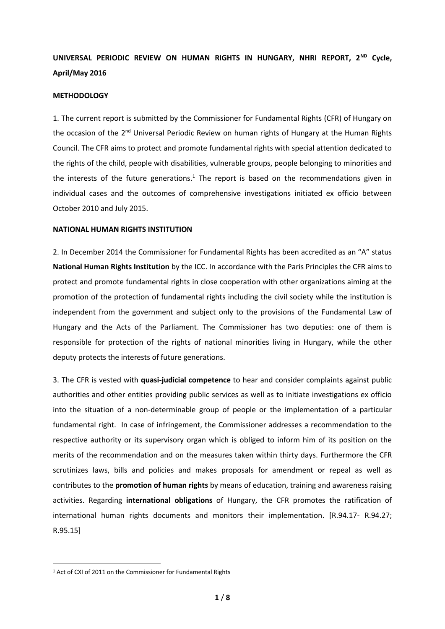# **UNIVERSAL PERIODIC REVIEW ON HUMAN RIGHTS IN HUNGARY, NHRI REPORT, 2ND Cycle, April/May 2016**

#### **METHODOLOGY**

1. The current report is submitted by the Commissioner for Fundamental Rights (CFR) of Hungary on the occasion of the 2<sup>nd</sup> Universal Periodic Review on human rights of Hungary at the Human Rights Council. The CFR aims to protect and promote fundamental rights with special attention dedicated to the rights of the child, people with disabilities, vulnerable groups, people belonging to minorities and the interests of the future generations.<sup>1</sup> The report is based on the recommendations given in individual cases and the outcomes of comprehensive investigations initiated ex officio between October 2010 and July 2015.

#### **NATIONAL HUMAN RIGHTS INSTITUTION**

2. In December 2014 the Commissioner for Fundamental Rights has been accredited as an "A" status **National Human Rights Institution** by the ICC. In accordance with the Paris Principles the CFR aims to protect and promote fundamental rights in close cooperation with other organizations aiming at the promotion of the protection of fundamental rights including the civil society while the institution is independent from the government and subject only to the provisions of the Fundamental Law of Hungary and the Acts of the Parliament. The Commissioner has two deputies: one of them is responsible for protection of the rights of national minorities living in Hungary, while the other deputy protects the interests of future generations.

3. The CFR is vested with **quasi-judicial competence** to hear and consider complaints against public authorities and other entities providing public services as well as to initiate investigations ex officio into the situation of a non-determinable group of people or the implementation of a particular fundamental right. In case of infringement, the Commissioner addresses a recommendation to the respective authority or its supervisory organ which is obliged to inform him of its position on the merits of the recommendation and on the measures taken within thirty days. Furthermore the CFR scrutinizes laws, bills and policies and makes proposals for amendment or repeal as well as contributes to the **promotion of human rights** by means of education, training and awareness raising activities. Regarding **international obligations** of Hungary, the CFR promotes the ratification of international human rights documents and monitors their implementation. [R.94.17- R.94.27; R.95.15]

**.** 

<sup>1</sup> Act of CXI of 2011 on the Commissioner for Fundamental Rights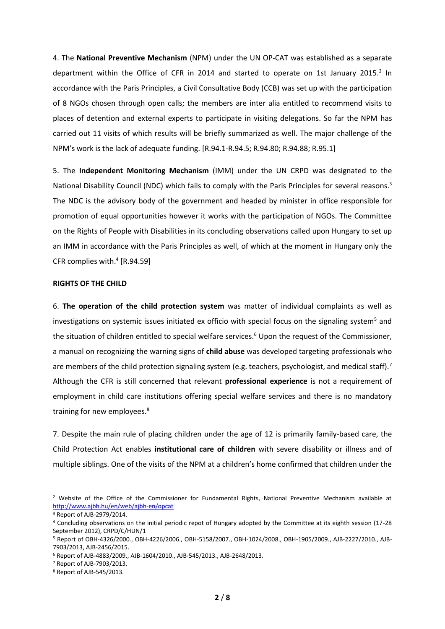4. The **National Preventive Mechanism** (NPM) under the UN OP-CAT was established as a separate department within the Office of CFR in 2014 and started to operate on 1st January 2015.<sup>2</sup> In accordance with the Paris Principles, a Civil Consultative Body (CCB) was set up with the participation of 8 NGOs chosen through open calls; the members are inter alia entitled to recommend visits to places of detention and external experts to participate in visiting delegations. So far the NPM has carried out 11 visits of which results will be briefly summarized as well. The major challenge of the NPM's work is the lack of adequate funding. [R.94.1-R.94.5; R.94.80; R.94.88; R.95.1]

5. The **Independent Monitoring Mechanism** (IMM) under the UN CRPD was designated to the National Disability Council (NDC) which fails to comply with the Paris Principles for several reasons.<sup>3</sup> The NDC is the advisory body of the government and headed by minister in office responsible for promotion of equal opportunities however it works with the participation of NGOs. The Committee on the Rights of People with Disabilities in its concluding observations called upon Hungary to set up an IMM in accordance with the Paris Principles as well, of which at the moment in Hungary only the CFR complies with.<sup>4</sup> [R.94.59]

#### **RIGHTS OF THE CHILD**

6. **The operation of the child protection system** was matter of individual complaints as well as investigations on systemic issues initiated ex officio with special focus on the signaling system<sup>5</sup> and the situation of children entitled to special welfare services.<sup>6</sup> Upon the request of the Commissioner, a manual on recognizing the warning signs of **child abuse** was developed targeting professionals who are members of the child protection signaling system (e.g. teachers, psychologist, and medical staff).<sup>7</sup> Although the CFR is still concerned that relevant **professional experience** is not a requirement of employment in child care institutions offering special welfare services and there is no mandatory training for new employees.<sup>8</sup>

7. Despite the main rule of placing children under the age of 12 is primarily family-based care, the Child Protection Act enables **institutional care of children** with severe disability or illness and of multiple siblings. One of the visits of the NPM at a children's home confirmed that children under the

<sup>2</sup> Website of the Office of the Commissioner for Fundamental Rights, National Preventive Mechanism available at <http://www.ajbh.hu/en/web/ajbh-en/opcat>

<sup>3</sup> Report of AJB-2979/2014.

<sup>4</sup> Concluding observations on the initial periodic repot of Hungary adopted by the Committee at its eighth session (17-28 September 2012), CRPD/C/HUN/1

<sup>5</sup> Report of OBH-4326/2000., OBH-4226/2006., OBH-5158/2007., OBH-1024/2008., OBH-1905/2009., AJB-2227/2010., AJB-7903/2013, AJB-2456/2015.

<sup>6</sup> Report of AJB-4883/2009., AJB-1604/2010., AJB-545/2013., AJB-2648/2013.

<sup>7</sup> Report of AJB-7903/2013.

<sup>8</sup> Report of AJB-545/2013.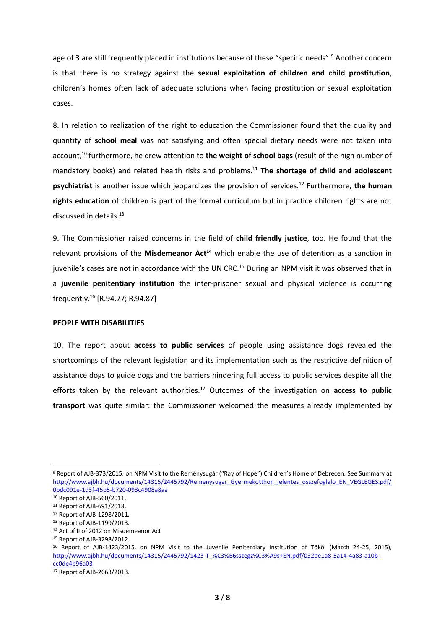age of 3 are still frequently placed in institutions because of these "specific needs".<sup>9</sup> Another concern is that there is no strategy against the **sexual exploitation of children and child prostitution**, children's homes often lack of adequate solutions when facing prostitution or sexual exploitation cases.

8. In relation to realization of the right to education the Commissioner found that the quality and quantity of **school meal** was not satisfying and often special dietary needs were not taken into account,<sup>10</sup> furthermore, he drew attention to the weight of school bags (result of the high number of mandatory books) and related health risks and problems.<sup>11</sup> **The shortage of child and adolescent psychiatrist** is another issue which jeopardizes the provision of services.<sup>12</sup> Furthermore, **the human rights education** of children is part of the formal curriculum but in practice children rights are not discussed in details.<sup>13</sup>

9. The Commissioner raised concerns in the field of **child friendly justice**, too. He found that the relevant provisions of the **Misdemeanor Act<sup>14</sup>** which enable the use of detention as a sanction in juvenile's cases are not in accordance with the UN CRC.<sup>15</sup> During an NPM visit it was observed that in a **juvenile penitentiary institution** the inter-prisoner sexual and physical violence is occurring frequently.<sup>16</sup> [R.94.77; R.94.87]

#### **PEOPLE WITH DISABILITIES**

10. The report about **access to public services** of people using assistance dogs revealed the shortcomings of the relevant legislation and its implementation such as the restrictive definition of assistance dogs to guide dogs and the barriers hindering full access to public services despite all the efforts taken by the relevant authorities.<sup>17</sup> Outcomes of the investigation on access to public **transport** was quite similar: the Commissioner welcomed the measures already implemented by

<sup>9</sup> Report of AJB-373/2015. on NPM Visit to the Reménysugár ("Ray of Hope") Children's Home of Debrecen. See Summary at [http://www.ajbh.hu/documents/14315/2445792/Remenysugar\\_Gyermekotthon\\_jelentes\\_osszefoglalo\\_EN\\_VEGLEGES.pdf/](http://www.ajbh.hu/documents/14315/2445792/Remenysugar_Gyermekotthon_jelentes_osszefoglalo_EN_VEGLEGES.pdf/0bdc091e-1d3f-45b5-b720-093c4908a8aa) [0bdc091e-1d3f-45b5-b720-093c4908a8aa](http://www.ajbh.hu/documents/14315/2445792/Remenysugar_Gyermekotthon_jelentes_osszefoglalo_EN_VEGLEGES.pdf/0bdc091e-1d3f-45b5-b720-093c4908a8aa)

<sup>10</sup> Report of AJB-560/2011.

<sup>11</sup> Report of AJB-691/2013.

<sup>12</sup> Report of AJB-1298/2011.

<sup>13</sup> Report of AJB-1199/2013.

<sup>14</sup> Act of II of 2012 on Misdemeanor Act

<sup>15</sup> Report of AJB-3298/2012.

<sup>16</sup> Report of AJB-1423/2015. on NPM Visit to the Juvenile Penitentiary Institution of Tököl (March 24-25, 2015), [http://www.ajbh.hu/documents/14315/2445792/1423-T\\_%C3%B6sszegz%C3%A9s+EN.pdf/032be1a8-5a14-4a83-a10b](http://www.ajbh.hu/documents/14315/2445792/1423-T_%C3%B6sszegz%C3%A9s+EN.pdf/032be1a8-5a14-4a83-a10b-cc0de4b96a03)[cc0de4b96a03](http://www.ajbh.hu/documents/14315/2445792/1423-T_%C3%B6sszegz%C3%A9s+EN.pdf/032be1a8-5a14-4a83-a10b-cc0de4b96a03)

<sup>17</sup> Report of AJB-2663/2013.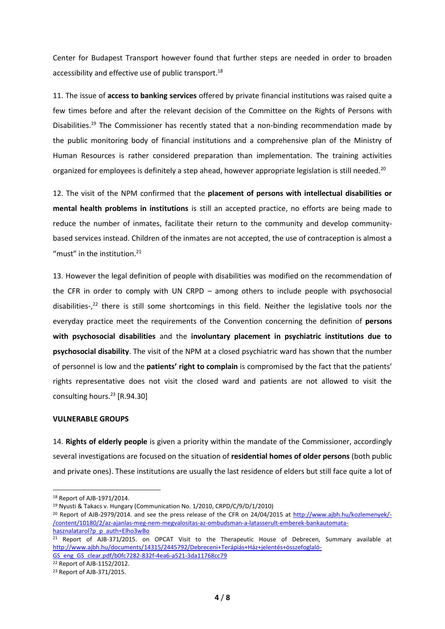Center for Budapest Transport however found that further steps are needed in order to broaden accessibility and effective use of public transport.<sup>18</sup>

11. The issue of **access to banking services** offered by private financial institutions was raised quite a few times before and after the relevant decision of the Committee on the Rights of Persons with Disabilities.<sup>19</sup> The Commissioner has recently stated that a non-binding recommendation made by the public monitoring body of financial institutions and a comprehensive plan of the Ministry of Human Resources is rather considered preparation than implementation. The training activities organized for employees is definitely a step ahead, however appropriate legislation is still needed.<sup>20</sup>

12. The visit of the NPM confirmed that the **placement of persons with intellectual disabilities or mental health problems in institutions** is still an accepted practice, no efforts are being made to reduce the number of inmates, facilitate their return to the community and develop communitybased services instead. Children of the inmates are not accepted, the use of contraception is almost a "must" in the institution. $21$ 

13. However the legal definition of people with disabilities was modified on the recommendation of the CFR in order to comply with UN CRPD – among others to include people with psychosocial disabilities-,<sup>22</sup> there is still some shortcomings in this field. Neither the legislative tools nor the everyday practice meet the requirements of the Convention concerning the definition of **persons with psychosocial disabilities** and the **involuntary placement in psychiatric institutions due to psychosocial disability**. The visit of the NPM at a closed psychiatric ward has shown that the number of personnel is low and the **patients' right to complain** is compromised by the fact that the patients' rights representative does not visit the closed ward and patients are not allowed to visit the consulting hours.<sup>23</sup> [R.94.30]

#### **VULNERABLE GROUPS**

14. **Rights of elderly people** is given a priority within the mandate of the Commissioner, accordingly several investigations are focused on the situation of **residential homes of older persons** (both public and private ones). These institutions are usually the last residence of elders but still face quite a lot of

1

<sup>22</sup> Report of AJB-1152/2012.

<sup>18</sup> Report of AJB-1971/2014.

<sup>19</sup> Nyusti & Takacs v. Hungary (Communication No. 1/2010, CRPD/C/9/D/1/2010)

<sup>20</sup> Report of AJB-2979/2014. and see the press release of the CFR on 24/04/2015 at [http://www.ajbh.hu/kozlemenyek/-](http://www.ajbh.hu/kozlemenyek/-/content/10180/2/az-ajanlas-meg-nem-megvalositas-az-ombudsman-a-latasserult-emberek-bankautomata-hasznalatarol?p_p_auth=Elho3wBo) [/content/10180/2/az-ajanlas-meg-nem-megvalositas-az-ombudsman-a-latasserult-emberek-bankautomata](http://www.ajbh.hu/kozlemenyek/-/content/10180/2/az-ajanlas-meg-nem-megvalositas-az-ombudsman-a-latasserult-emberek-bankautomata-hasznalatarol?p_p_auth=Elho3wBo)[hasznalatarol?p\\_p\\_auth=Elho3wBo](http://www.ajbh.hu/kozlemenyek/-/content/10180/2/az-ajanlas-meg-nem-megvalositas-az-ombudsman-a-latasserult-emberek-bankautomata-hasznalatarol?p_p_auth=Elho3wBo)

<sup>&</sup>lt;sup>21</sup> Report of AJB-371/2015. on OPCAT Visit to the Therapeutic House of Debrecen, Summary available at [http://www.ajbh.hu/documents/14315/2445792/Debreceni+Terápiás+Ház+jelentés+összefoglaló-](http://www.ajbh.hu/documents/14315/2445792/Debreceni+Terápiás+Ház+jelentés+összefoglaló-GS_eng_GS_clear.pdf/b0fc7282-832f-4ea6-a521-3da11768cc79)[GS\\_eng\\_GS\\_clear.pdf/b0fc7282-832f-4ea6-a521-3da11768cc79](http://www.ajbh.hu/documents/14315/2445792/Debreceni+Terápiás+Ház+jelentés+összefoglaló-GS_eng_GS_clear.pdf/b0fc7282-832f-4ea6-a521-3da11768cc79)

<sup>23</sup> Report of AJB-371/2015.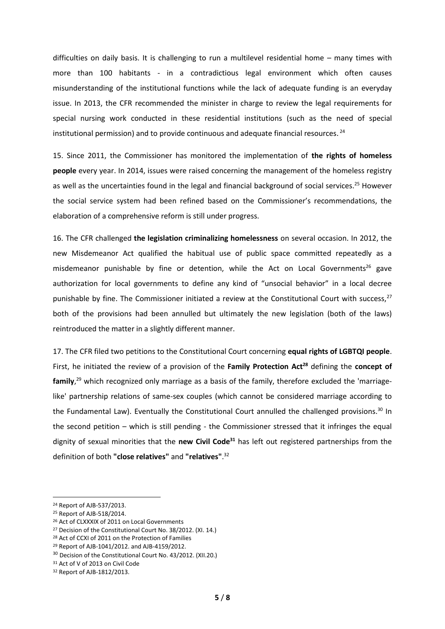difficulties on daily basis. It is challenging to run a multilevel residential home – many times with more than 100 habitants - in a contradictious legal environment which often causes misunderstanding of the institutional functions while the lack of adequate funding is an everyday issue. In 2013, the CFR recommended the minister in charge to review the legal requirements for special nursing work conducted in these residential institutions (such as the need of special institutional permission) and to provide continuous and adequate financial resources.<sup>24</sup>

15. Since 2011, the Commissioner has monitored the implementation of **the rights of homeless people** every year. In 2014, issues were raised concerning the management of the homeless registry as well as the uncertainties found in the legal and financial background of social services.<sup>25</sup> However the social service system had been refined based on the Commissioner's recommendations, the elaboration of a comprehensive reform is still under progress.

16. The CFR challenged **the legislation criminalizing homelessness** on several occasion. In 2012, the new Misdemeanor Act qualified the habitual use of public space committed repeatedly as a misdemeanor punishable by fine or detention, while the Act on Local Governments<sup>26</sup> gave authorization for local governments to define any kind of "unsocial behavior" in a local decree punishable by fine. The Commissioner initiated a review at the Constitutional Court with success, $^{27}$ both of the provisions had been annulled but ultimately the new legislation (both of the laws) reintroduced the matter in a slightly different manner.

17. The CFR filed two petitions to the Constitutional Court concerning **equal rights of LGBTQI people**. First, he initiated the review of a provision of the **Family Protection Act<sup>28</sup>** defining the **concept of family**, <sup>29</sup> which recognized only marriage as a basis of the family, therefore excluded the 'marriagelike' partnership relations of same-sex couples (which cannot be considered marriage according to the Fundamental Law). Eventually the Constitutional Court annulled the challenged provisions.<sup>30</sup> In the second petition – which is still pending - the Commissioner stressed that it infringes the equal dignity of sexual minorities that the **new Civil Code<sup>31</sup>** has left out registered partnerships from the definition of both **"close relatives"** and **"relatives"**. 32

<sup>24</sup> Report of AJB-537/2013.

<sup>25</sup> Report of AJB-518/2014.

<sup>26</sup> Act of CLXXXIX of 2011 on Local Governments

<sup>&</sup>lt;sup>27</sup> Decision of the Constitutional Court No. 38/2012. (XI. 14.)

<sup>28</sup> Act of CCXI of 2011 on the Protection of Families

<sup>29</sup> Report of AJB-1041/2012. and AJB-4159/2012.

<sup>30</sup> Decision of the Constitutional Court No. 43/2012. (XII.20.)

<sup>&</sup>lt;sup>31</sup> Act of V of 2013 on Civil Code

<sup>32</sup> Report of AJB-1812/2013.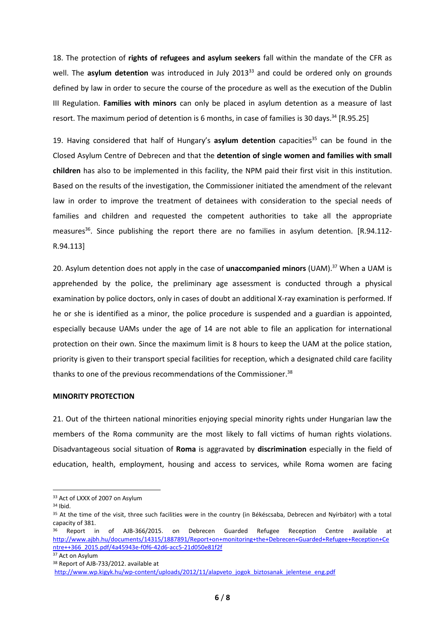18. The protection of **rights of refugees and asylum seekers** fall within the mandate of the CFR as well. The **asylum detention** was introduced in July 2013<sup>33</sup> and could be ordered only on grounds defined by law in order to secure the course of the procedure as well as the execution of the Dublin III Regulation. **Families with minors** can only be placed in asylum detention as a measure of last resort. The maximum period of detention is 6 months, in case of families is 30 days.<sup>34</sup> [R.95.25]

19. Having considered that half of Hungary's **asylum detention** capacities<sup>35</sup> can be found in the Closed Asylum Centre of Debrecen and that the **detention of single women and families with small children** has also to be implemented in this facility, the NPM paid their first visit in this institution. Based on the results of the investigation, the Commissioner initiated the amendment of the relevant law in order to improve the treatment of detainees with consideration to the special needs of families and children and requested the competent authorities to take all the appropriate measures<sup>36</sup>. Since publishing the report there are no families in asylum detention.  $[R.94.112-$ R.94.113]

20. Asylum detention does not apply in the case of **unaccompanied minors** (UAM).<sup>37</sup> When a UAM is apprehended by the police, the preliminary age assessment is conducted through a physical examination by police doctors, only in cases of doubt an additional X-ray examination is performed. If he or she is identified as a minor, the police procedure is suspended and a guardian is appointed, especially because UAMs under the age of 14 are not able to file an application for international protection on their own. Since the maximum limit is 8 hours to keep the UAM at the police station, priority is given to their transport special facilities for reception, which a designated child care facility thanks to one of the previous recommendations of the Commissioner.<sup>38</sup>

### **MINORITY PROTECTION**

21. Out of the thirteen national minorities enjoying special minority rights under Hungarian law the members of the Roma community are the most likely to fall victims of human rights violations. Disadvantageous social situation of **Roma** is aggravated by **discrimination** especially in the field of education, health, employment, housing and access to services, while Roma women are facing

<sup>&</sup>lt;sup>33</sup> Act of LXXX of 2007 on Asylum

<sup>34</sup> Ibid.

<sup>35</sup> At the time of the visit, three such facilities were in the country (in Békéscsaba, Debrecen and Nyírbátor) with a total capacity of 381.

<sup>36</sup> Report in of AJB-366/2015. on Debrecen Guarded Refugee Reception Centre available at [http://www.ajbh.hu/documents/14315/1887891/Report+on+monitoring+the+Debrecen+Guarded+Refugee+Reception+Ce](http://www.ajbh.hu/documents/14315/1887891/Report+on+monitoring+the+Debrecen+Guarded+Refugee+Reception+Centre++366_2015.pdf/4a45943e-f0f6-42d6-acc5-21d050e81f2f) [ntre++366\\_2015.pdf/4a45943e-f0f6-42d6-acc5-21d050e81f2f](http://www.ajbh.hu/documents/14315/1887891/Report+on+monitoring+the+Debrecen+Guarded+Refugee+Reception+Centre++366_2015.pdf/4a45943e-f0f6-42d6-acc5-21d050e81f2f)

<sup>&</sup>lt;sup>37</sup> Act on Asylum

<sup>38</sup> Report of AJB-733/2012. available at

[http://www.wp.kigyk.hu/wp-content/uploads/2012/11/alapveto\\_jogok\\_biztosanak\\_jelentese\\_eng.pdf](http://www.wp.kigyk.hu/wp-content/uploads/2012/11/alapveto_jogok_biztosanak_jelentese_eng.pdf)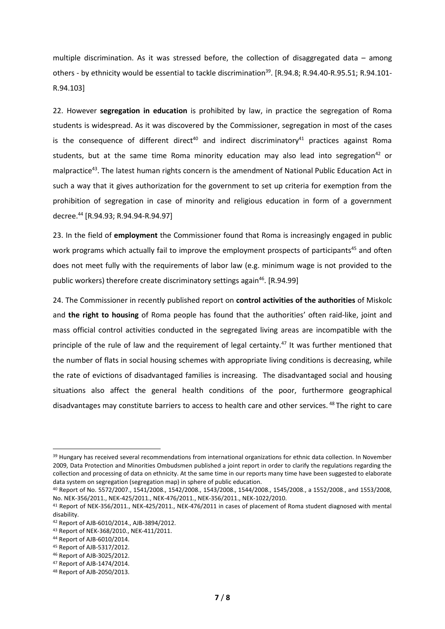multiple discrimination. As it was stressed before, the collection of disaggregated data – among others - by ethnicity would be essential to tackle discrimination<sup>39</sup>. [R.94.8; R.94.40-R.95.51; R.94.101-R.94.103]

22. However **segregation in education** is prohibited by law, in practice the segregation of Roma students is widespread. As it was discovered by the Commissioner, segregation in most of the cases is the consequence of different direct<sup>40</sup> and indirect discriminatory<sup>41</sup> practices against Roma students, but at the same time Roma minority education may also lead into segregation<sup>42</sup> or malpractice<sup>43</sup>. The latest human rights concern is the amendment of National Public Education Act in such a way that it gives authorization for the government to set up criteria for exemption from the prohibition of segregation in case of minority and religious education in form of a government decree.<sup>44</sup> [R.94.93; R.94.94-R.94.97]

23. In the field of **employment** the Commissioner found that Roma is increasingly engaged in public work programs which actually fail to improve the employment prospects of participants<sup>45</sup> and often does not meet fully with the requirements of labor law (e.g. minimum wage is not provided to the public workers) therefore create discriminatory settings again<sup>46</sup>. [R.94.99]

24. The Commissioner in recently published report on **control activities of the authorities** of Miskolc and **the right to housing** of Roma people has found that the authorities' often raid-like, joint and mass official control activities conducted in the segregated living areas are incompatible with the principle of the rule of law and the requirement of legal certainty.<sup>47</sup> It was further mentioned that the number of flats in social housing schemes with appropriate living conditions is decreasing, while the rate of evictions of disadvantaged families is increasing. The disadvantaged social and housing situations also affect the general health conditions of the poor, furthermore geographical disadvantages may constitute barriers to access to health care and other services.<sup>48</sup> The right to care

**.** 

<sup>&</sup>lt;sup>39</sup> Hungary has received several recommendations from international organizations for ethnic data collection. In November 2009, Data Protection and Minorities Ombudsmen published a joint report in order to clarify the regulations regarding the collection and processing of data on ethnicity. At the same time in our reports many time have been suggested to elaborate data system on segregation (segregation map) in sphere of public education.

<sup>40</sup> Report of No. 5572/2007., 1541/2008., 1542/2008., 1543/2008., 1544/2008., 1545/2008., a 1552/2008., and 1553/2008, No. NEK-356/2011., NEK-425/2011., NEK-476/2011., NEK-356/2011., NEK-1022/2010.

<sup>41</sup> Report of NEK-356/2011., NEK-425/2011., NEK-476/2011 in cases of placement of Roma student diagnosed with mental disability.

<sup>42</sup> Report of AJB-6010/2014., AJB-3894/2012.

<sup>43</sup> Report of NEK-368/2010., NEK-411/2011.

<sup>44</sup> Report of AJB-6010/2014.

<sup>45</sup> Report of AJB-5317/2012.

<sup>46</sup> Report of AJB-3025/2012.

<sup>47</sup> Report of AJB-1474/2014.

<sup>48</sup> Report of AJB-2050/2013.